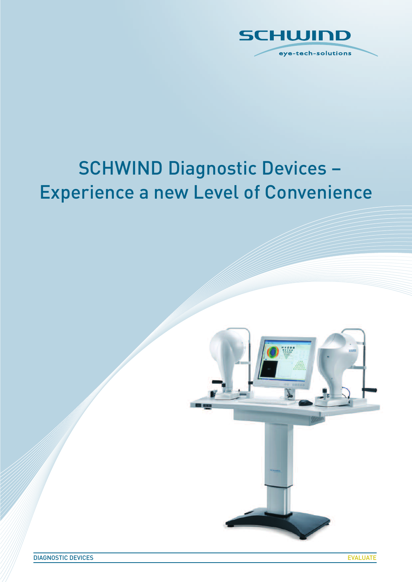

# SCHWIND Diagnostic Devices – Experience a new Level of Convenience

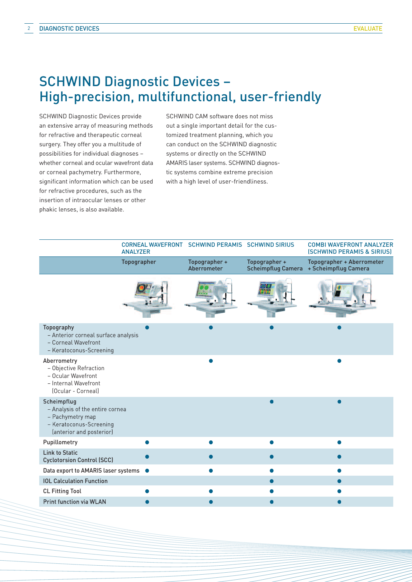# SCHWIND Diagnostic Devices – High-precision, multifunctional, user-friendly

SCHWIND Diagnostic Devices provide an extensive array of measuring methods for refractive and therapeutic corneal surgery. They offer you a multitude of possibilities for individual diagnoses – whether corneal and ocular wavefront data or corneal pachymetry. Furthermore, significant information which can be used for refractive procedures, such as the insertion of intraocular lenses or other phakic lenses, is also available.

SCHWIND CAM software does not miss out a single important detail for the customized treatment planning, which you can conduct on the SCHWIND diagnostic systems or directly on the SCHWIND AMARIS laser systems. SCHWIND diagnostic systems combine extreme precision with a high level of user-friendliness.

|                                                                                                                           | CORNEAL WAVEFRONT SCHWIND PERAMIS SCHWIND SIRIUS<br><b>ANALYZER</b> |                              |                                            | <b>COMBI WAVEFRONT ANALYZER</b><br><b>(SCHWIND PERAMIS &amp; SIRIUS)</b> |
|---------------------------------------------------------------------------------------------------------------------------|---------------------------------------------------------------------|------------------------------|--------------------------------------------|--------------------------------------------------------------------------|
|                                                                                                                           | <b>Topographer</b>                                                  | Topographer +<br>Aberrometer | Topographer +<br><b>Scheimpflug Camera</b> | Topographer + Aberrometer<br>+ Scheimpflug Camera                        |
|                                                                                                                           |                                                                     |                              |                                            |                                                                          |
| Topography<br>- Anterior corneal surface analysis<br>- Corneal Wavefront<br>- Keratoconus-Screening                       |                                                                     |                              |                                            |                                                                          |
| Aberrometry<br>- Objective Refraction<br>- Ocular Wavefront<br>- Internal Wavefront<br>(Ocular - Corneal)                 |                                                                     |                              |                                            |                                                                          |
| Scheimpflug<br>- Analysis of the entire cornea<br>- Pachymetry map<br>- Keratoconus-Screening<br>(anterior and posterior) |                                                                     |                              |                                            |                                                                          |
| Pupillometry                                                                                                              |                                                                     | $\bullet$                    |                                            | $\bullet$                                                                |
| <b>Link to Static</b><br><b>Cyclotorsion Control (SCC)</b>                                                                |                                                                     |                              |                                            |                                                                          |
| Data export to AMARIS laser systems $\bullet$                                                                             |                                                                     |                              |                                            | e                                                                        |
| <b>IOL Calculation Function</b>                                                                                           |                                                                     |                              |                                            |                                                                          |
| <b>CL Fitting Tool</b>                                                                                                    |                                                                     |                              |                                            |                                                                          |
| <b>Print function via WLAN</b>                                                                                            |                                                                     |                              |                                            |                                                                          |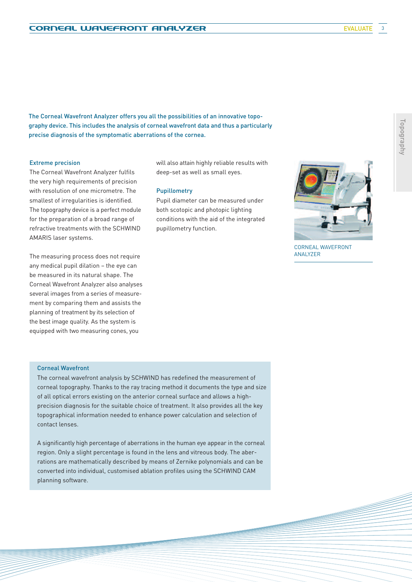**EVALUATE** 

The Corneal Wavefront Analyzer offers you all the possibilities of an innovative topography device. This includes the analysis of corneal wavefront data and thus a particularly precise diagnosis of the symptomatic aberrations of the cornea.

### Extreme precision

The Corneal Wavefront Analyzer fulfils the very high requirements of precision with resolution of one micrometre. The smallest of irregularities is identified. The topography device is a perfect module for the preparation of a broad range of refractive treatments with the SCHWIND AMARIS laser systems.

The measuring process does not require any medical pupil dilation – the eye can be measured in its natural shape. The Corneal Wavefront Analyzer also analyses several images from a series of measurement by comparing them and assists the planning of treatment by its selection of the best image quality. As the system is equipped with two measuring cones, you

will also attain highly reliable results with deep-set as well as small eyes.

#### Pupillometry

Pupil diameter can be measured under both scotopic and photopic lighting conditions with the aid of the integrated pupillometry function.



CORNEAL WAVEFRONT ANALYZER

#### Corneal Wavefront

The corneal wavefront analysis by SCHWIND has redefined the measurement of corneal topography. Thanks to the ray tracing method it documents the type and size of all optical errors existing on the anterior corneal surface and allows a highprecision diagnosis for the suitable choice of treatment. It also provides all the key topographical information needed to enhance power calculation and selection of contact lenses.

A significantly high percentage of aberrations in the human eye appear in the corneal region. Only a slight percentage is found in the lens and vitreous body. The aberrations are mathematically described by means of Zernike polynomials and can be converted into individual, customised ablation profiles using the SCHWIND CAM planning software.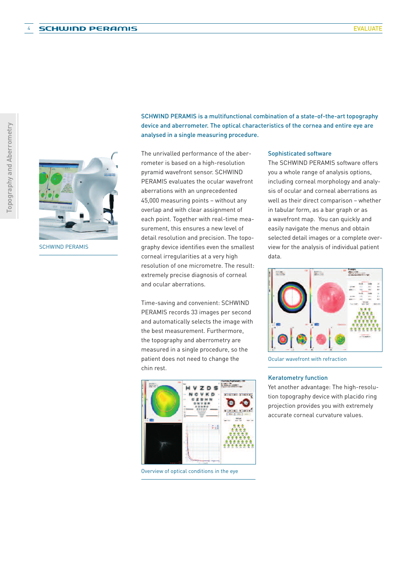

SCHWIND PERAMIS

SCHWIND PERAMIS is a multifunctional combination of a state-of-the-art topography device and aberrometer. The optical characteristics of the cornea and entire eye are analysed in a single measuring procedure.

The unrivalled performance of the aberrometer is based on a high-resolution pyramid wavefront sensor. SCHWIND PERAMIS evaluates the ocular wavefront aberrations with an unprecedented 45,000 measuring points – without any overlap and with clear assignment of each point. Together with real-time measurement, this ensures a new level of detail resolution and precision. The topography device identifies even the smallest corneal irregularities at a very high resolution of one micrometre. The result: extremely precise diagnosis of corneal and ocular aberrations.

Time-saving and convenient: SCHWIND PERAMIS records 33 images per second and automatically selects the image with the best measurement. Furthermore, the topography and aberrometry are measured in a single procedure, so the patient does not need to change the chin rest.



Overview of optical conditions in the eye

#### Sophisticated software

The SCHWIND PERAMIS software offers you a whole range of analysis options, including corneal morphology and analysis of ocular and corneal aberrations as well as their direct comparison – whether in tabular form, as a bar graph or as a wavefront map. You can quickly and easily navigate the menus and obtain selected detail images or a complete overview for the analysis of individual patient data.



Ocular wavefront with refraction

#### Keratometry function

Yet another advantage: The high-resolution topography device with placido ring projection provides you with extremely accurate corneal curvature values.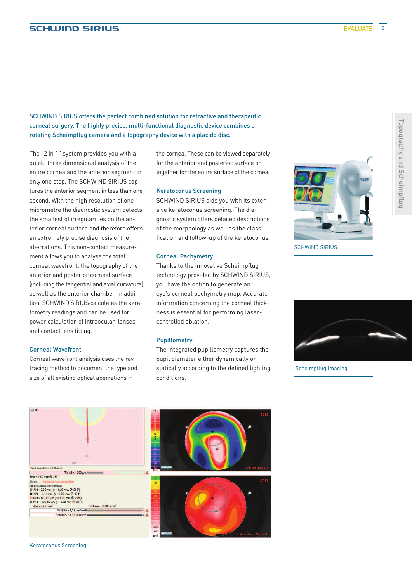Topography

Topography and Scheimpflug

Scheimpflug

SCHWIND SIRIUS offers the perfect combined solution for refractive and therapeutic corneal surgery. The highly precise, multi-functional diagnostic device combines a rotating Scheimpflug camera and a topography device with a placido disc.

The "2 in 1" system provides you with a quick, three dimensional analysis of the entire cornea and the anterior segment in only one step. The SCHWIND SIRIUS captures the anterior segment in less than one second. With the high resolution of one micrometre the diagnostic system detects the smallest of irregularities on the anterior corneal surface and therefore offers an extremely precise diagnosis of the aberrations. This non-contact measurement allows you to analyse the total corneal wavefront, the topography of the anterior and posterior corneal surface (including the tangential and axial curvature) as well as the anterior chamber. In addition, SCHWIND SIRIUS calculates the keratometry readings and can be used for power calculation of intraocular lenses and contact lens fitting.

#### Corneal Wavefront

Corneal wavefront analysis uses the ray tracing method to document the type and size of all existing optical aberrations in

the cornea. These can be viewed separately for the anterior and posterior surface or together for the entire surface of the cornea.

#### Keratoconus Screening

SCHWIND SIRIUS aids you with its extensive keratoconus screening. The diagnostic system offers detailed descriptions of the morphology as well as the classification and follow-up of the keratoconus.

#### Corneal Pachymetry

Thanks to the innovative Scheimpflug technology provided by SCHWIND SIRIUS, you have the option to generate an eye's corneal pachymetry map. Accurate information concerning the corneal thickness is essential for performing lasercontrolled ablation.

#### Pupillometry

The integrated pupillometry captures the pupil diameter either dynamically or statically according to the defined lighting conditions.



SCHWIND SIRIUS



Scheimpflug Imaging



Keratoconus Screening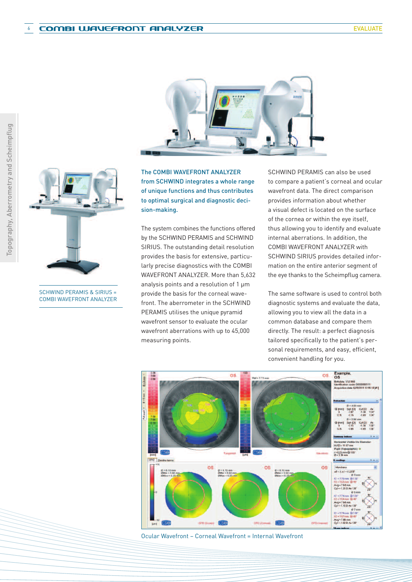

from SCHWIND integrates a whole range of unique functions and thus contributes to optimal surgical and diagnostic decision-making.

The system combines the functions offered by the SCHWIND PERAMIS and SCHWIND SIRIUS. The outstanding detail resolution provides the basis for extensive, particularly precise diagnostics with the COMBI WAVEFRONT ANALYZER. More than 5,632 analysis points and a resolution of 1 um provide the basis for the corneal wavefront. The aberrometer in the SCHWIND PERAMIS utilises the unique pyramid wavefront sensor to evaluate the ocular wavefront aberrations with up to 45,000 measuring points.

SCHWIND PERAMIS can also be used to compare a patient's corneal and ocular wavefront data. The direct comparison provides information about whether a visual defect is located on the surface of the cornea or within the eye itself, thus allowing you to identify and evaluate internal aberrations. In addition, the COMBI WAVEFRONT ANALYZER with SCHWIND SIRIUS provides detailed information on the entire anterior segment of the eye thanks to the Scheimpflug camera.

The same software is used to control both diagnostic systems and evaluate the data, allowing you to view all the data in a common database and compare them directly. The result: a perfect diagnosis tailored specifically to the patient's personal requirements, and easy, efficient, convenient handling for you.



Ocular Wavefront – Corneal Wavefront = Internal Wavefront



SCHWIND PERAMIS & SIRIUS = COMBI WAVEFRONT ANALYZER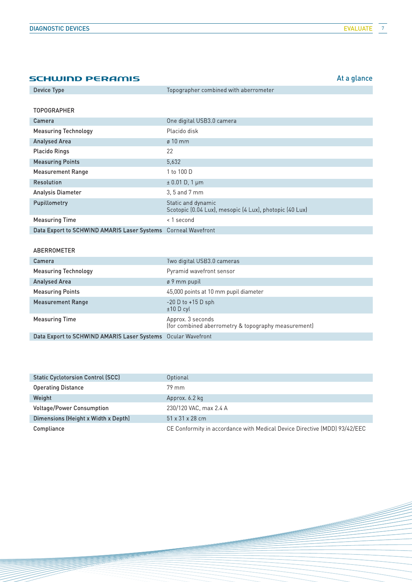| <b>SCHWIND PERAMIS</b>                      |                                                                               | At a glance |
|---------------------------------------------|-------------------------------------------------------------------------------|-------------|
| Device Type                                 | Topographer combined with aberrometer                                         |             |
|                                             |                                                                               |             |
| <b>TOPOGRAPHER</b>                          |                                                                               |             |
| Camera                                      | One digital USB3.0 camera                                                     |             |
| <b>Measuring Technology</b>                 | Placido disk                                                                  |             |
| <b>Analysed Area</b>                        | $\varnothing$ 10 mm                                                           |             |
| <b>Placido Rings</b>                        | 22                                                                            |             |
| <b>Measuring Points</b>                     | 5.632                                                                         |             |
| <b>Measurement Range</b>                    | 1 to 100 D                                                                    |             |
| Resolution                                  | $\pm 0.01$ D, 1 µm                                                            |             |
| Analysis Diameter                           | 3, 5 and 7 mm                                                                 |             |
| Pupillometry                                | Static and dynamic<br>Scotopic (0.04 Lux), mesopic (4 Lux), photopic (40 Lux) |             |
| <b>Measuring Time</b>                       | < 1 second                                                                    |             |
| Data Export to SCHWIND AMARIS Laser Systems | <b>Corneal Wavefront</b>                                                      |             |

## ABERROMETER

| Camera                                                       | Two digital USB3.0 cameras                                               |
|--------------------------------------------------------------|--------------------------------------------------------------------------|
| <b>Measuring Technology</b>                                  | Pyramid wavefront sensor                                                 |
| <b>Analysed Area</b>                                         | ø 9 mm pupil                                                             |
| <b>Measuring Points</b>                                      | 45,000 points at 10 mm pupil diameter                                    |
| <b>Measurement Range</b>                                     | $-20$ D to $+15$ D sph<br>$±10$ D cyl                                    |
| <b>Measuring Time</b>                                        | Approx. 3 seconds<br>(for combined aberrometry & topography measurement) |
| Data Export to SCHWIND AMARIS Laser Systems Ocular Wavefront |                                                                          |

| <b>Static Cyclotorsion Control (SCC)</b> | Optional                                                                  |
|------------------------------------------|---------------------------------------------------------------------------|
| <b>Operating Distance</b>                | 79 mm                                                                     |
| Weight                                   | Approx. 6.2 kg                                                            |
| <b>Voltage/Power Consumption</b>         | 230/120 VAC, max 2.4 A                                                    |
| Dimensions (Height x Width x Depth)      | $51 \times 31 \times 28$ cm                                               |
| Compliance                               | CE Conformity in accordance with Medical Device Directive (MDD) 93/42/EEC |